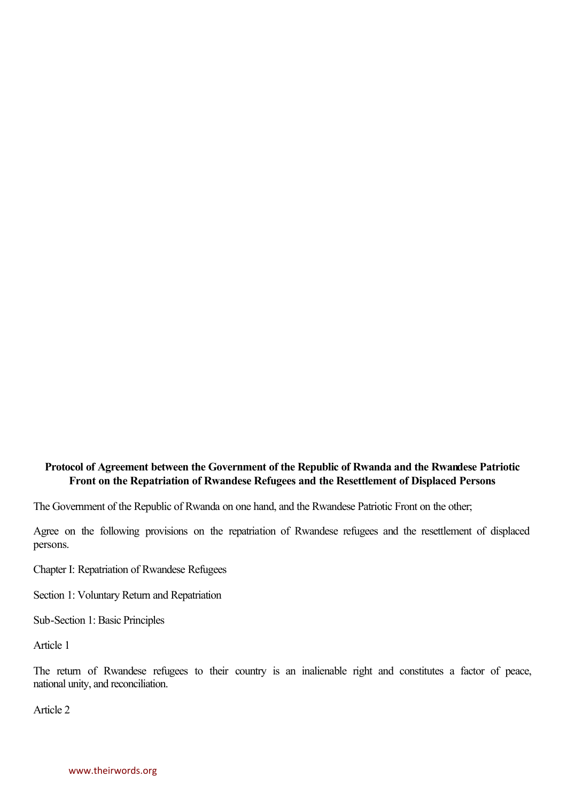## **Protocol of Agreement between the Government of the Republic of Rwanda and the Rwandese Patriotic Front on the Repatriation of Rwandese Refugees and the Resettlement of Displaced Persons**

The Government of the Republic of Rwanda on one hand, and the Rwandese Patriotic Front on the other;

Agree on the following provisions on the repatriation of Rwandese refugees and the resettlement of displaced persons.

Chapter I: Repatriation of Rwandese Refugees

Section 1: Voluntary Return and Repatriation

Sub-Section 1: Basic Principles

Article 1

The return of Rwandese refugees to their country is an inalienable right and constitutes a factor of peace, national unity, and reconciliation.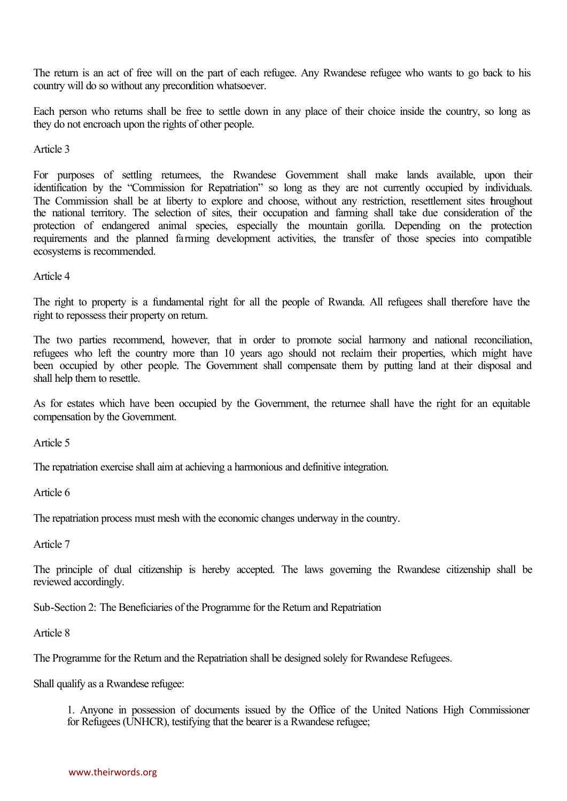The return is an act of free will on the part of each refugee. Any Rwandese refugee who wants to go back to his country will do so without any precondition whatsoever.

Each person who returns shall be free to settle down in any place of their choice inside the country, so long as they do not encroach upon the rights of other people.

Article 3

Article 3<br>For purposes of settling returnees, the Rwandese Government shall make lands available, upon their<br>identification by the "Commission for Repatriation" so long as they are not currently occupied by i For purposes of settling returnees, the Rwandese Government shall make lands available, upon their identification by the "Commission for Repatriation" so long as they are not currently occupied by individuals.<br>The Commissi For purposes of settling returnees, the Rwandese Government shall make lands available, upon their identification by the "Commission for Repatriation" so long as they are not currently occupied by individuals. The Commissi identification by the "Commission for Repatriation" so long as they are not currently occupied by individuals.<br>The Commission shall be at liberty to explore and choose, without any restriction, resettlement sites throughou The Commission shall be at liberty to explore and choose, without any restriction, resettlement sites throughout<br>the national territory. The selection of sites, their occupation and farming shall take due consideration of the national territory. The selection of sites, their occupation and farming shall take due consideration of the protection of endangered animal species, especially the mountain gorilla. Depending on the protection require ecosystems is recommended.

Article 4

The right to property is a fundamental right for all the people of Rwanda. All refugees shall therefore have the right to repossess their property on return.

The two parties recommend, however, that in order to promote social harmony and national reconciliation,<br>The two parties recommend, however, that in order to promote social harmony and national reconciliation, The two parties recommend, however, that in order to promote social harmony and national reconciliation, refugees who left the country more than 10 years ago should not reclaim their properties, which might have been occup The two parties recommend, however, that in order to promote social harmony and national reconciliation, refugees who left the country more than 10 years ago should not reclaim their properties, which might have been occup shall help them to resettle.

As for estates which have been occupied by the Government, the returnee shall have the right for an equitable compensation by the Government.

Article 5

The repatriation exercise shall aim at achieving a harmonious and definitive integration.

Article 6

The repatriation process must mesh with the economic changes underway in the country.

Article 7

The principle of dual citizenship is hereby accepted. The laws governing the Rwandese citizenship shall be reviewed accordingly.

Sub-Section 2: The Beneficiaries of the Programme for the Return and Repatriation

Article 8

The Programme for the Return and the Repatriation shall be designed solely for Rwandese Refugees.

Shall qualify as a Rwandese refugee:

1. Anyone in possession of documents issued by the Office of the United Nations High Commissioner for Refugees (UNHCR), testifying that the bearer is a Rwandese refugee;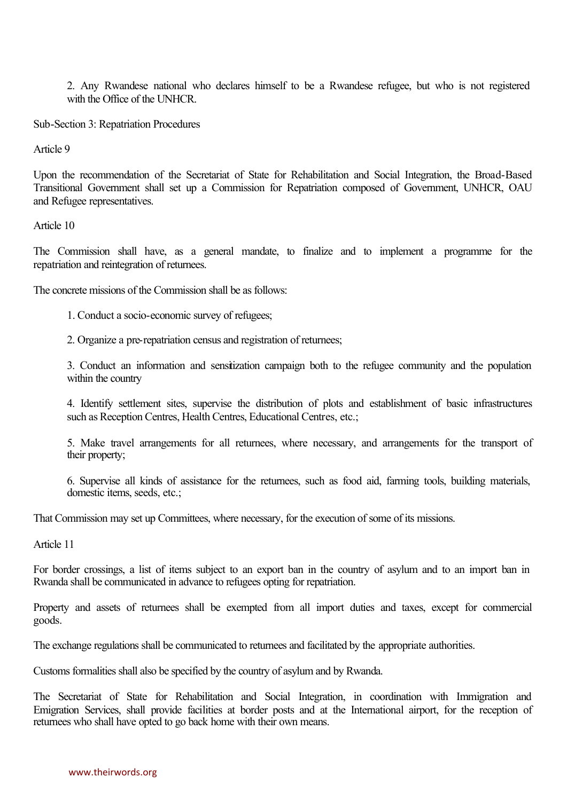2. Any Rwandese national who declares himself to be a Rwandese refugee, but who is not registered with the Office of the UNHCR.

Sub-Section 3: Repatriation Procedures

Article 9

Upon the recommendation of the Secretariat of State for Rehabilitation and Social Integration, the Broad-Based Transitional Government shall set up a Commission for Repatriation composed of Government, UNHCR, OAU and Refugee representatives.

Article 10

The Commission shall have, as a general mandate, to finalize and to implement a programme for the repatriation and reintegration of returnees.

The concrete missions of the Commission shall be as follows:

1. Conduct a socio-economic survey of refugees;

2. Organize a pre-repatriation census and registration of returnees;

3. Conduct an information and sensitization campaign both to the refugee community and the population within the country

4. Identify settlement sites, supervise the distribution of plots and establishment of basic infrastructures such as Reception Centres, Health Centres, Educational Centres, etc.;

5. Make travel arrangements for all returnees, where necessary, and arrangements for the transport of their property;

6. Supervise all kinds of assistance for the returnees, such as food aid, farming tools, building materials, domestic items, seeds, etc.;

That Commission may set up Committees, where necessary, for the execution of some of its missions.

Article 11

For border crossings, a list of items subject to an export ban in the country of asylum and to an import ban in Rwanda shall be communicated in advance to refugees opting for repatriation.

Property and assets of returnees shall be exempted from all import duties and taxes, except for commercial goods.

The exchange regulations shall be communicated to returnees and facilitated by the appropriate authorities.

Customs formalities shall also be specified by the country of asylum and by Rwanda.

The Secretariat of State for Rehabilitation and Social Integration, in coordination with Immigration and Emigration Services, shall provide facilities at border posts and at the International airport, for the reception of returnees who shall have opted to go back home with their own means.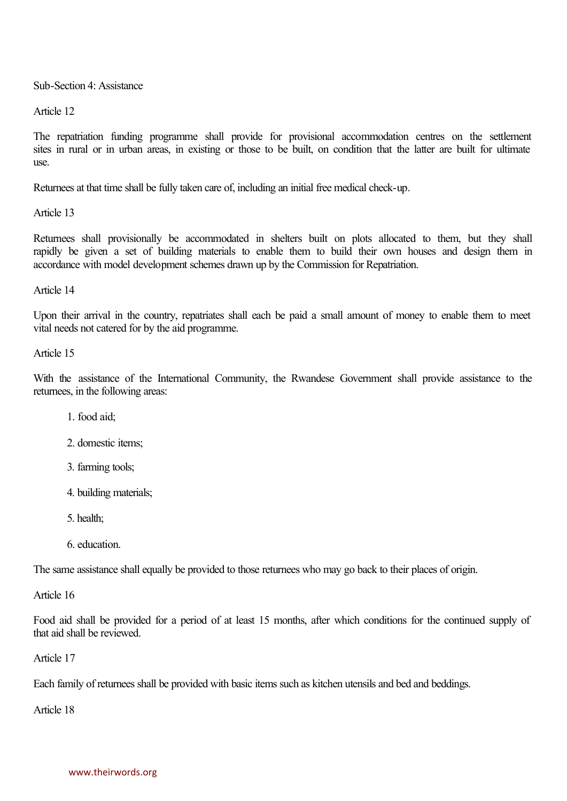Sub-Section 4: Assistance

Article 12

Article 12<br>The repatriation funding programme shall provide for provisional accommodation centres on the settlement<br>sites in nural or in urban areas in existing or those to be built on condition that the latter are built f The repatriation funding programme shall provide for provisional accommodation centres on the settlement sites in rural or in urban areas, in existing or those to be built, on condition that the latter are built for ultima use.

Returnees at that time shall be fully taken care of, including an initial free medical check-up.

Article 13

Article 13<br>Returnees shall provisionally be accommodated in shelters built on plots allocated to them, but they shall<br>rapidly be given a set of building materials to enable them to build their Returnees shall provisionally be accommodated in shelters built on plots allocated to them, but they shall rapidly be given a set of building materials to enable them to build their own houses and design them in accordance accordance with model development schemes drawn up by the Commission for Repatriation.

Article 14

Upon their arrival in the country, repatriates shall each be paid a small amount of money to enable them to meet vital needs not catered for by the aid programme.

Article 15

With the assistance of the International Community, the Rwandese Government shall provide assistance to the returnees, in the following areas:

1. food aid;

2. domestic items;

- 3. farming tools;
- 4. building materials;
- 5. health;
- 6. education.

The same assistance shall equally be provided to those returnees who may go back to their places of origin.

Article 16

Food aid shall be provided for a period of at least 15 months, after which conditions for the continued supply of that aid shall be reviewed. Article 17

Each family of returnees shall be provided with basic items such as kitchen utensils and bed and beddings.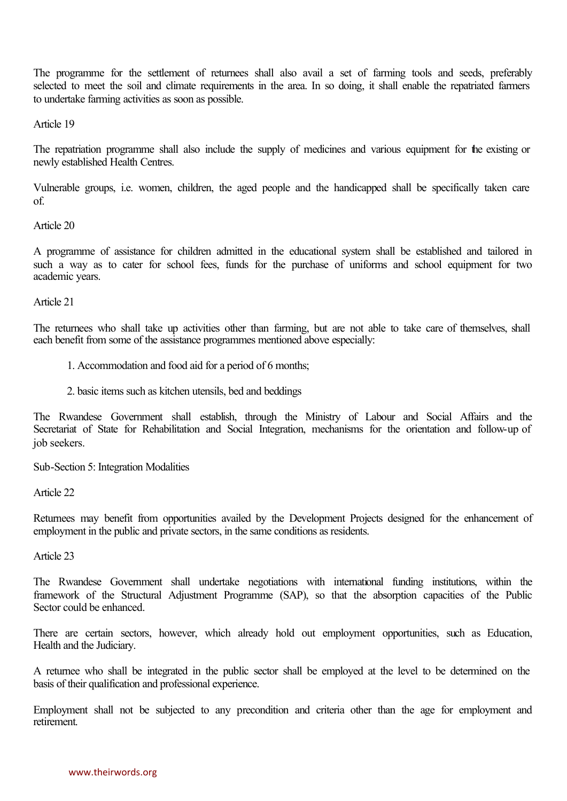The programme for the settlement of returnees shall also avail a set of farming tools and seeds, preferably<br>selected to meet the soil and climate requirements in the area. In so doing it shall enable the repatriated farmer The programme for the settlement of returnees shall also avail a set of farming tools and seeds, preferably selected to meet the soil and climate requirements in the area. In so doing, it shall enable the repatriated farme to undertake farming activities as soon as possible.

Article 19

The repatriation programme shall also include the supply of medicines and various equipment for the existing or newly established Health Centres.

Vulnerable groups, i.e. women, children, the aged people and the handicapped shall be specifically taken care of.

## Article 20

A programme of assistance for children admitted in the educational system shall be established and tailored in such a way as to cater for school fees, funds for the purchase of uniforms and school equipment for two academic years.

Article 21

The returnees who shall take up activities other than farming, but are not able to take care of themselves, shall each benefit from some of the assistance programmes mentioned above especially:

- 1. Accommodation and food aid for a period of 6 months;
- 2. basic items such as kitchen utensils, bed and beddings

The Rwandese Government shall establish, through the Ministry of Labour and Social Affairs and the Secretariat of State for Rehabilitation and Social Integration, mechanisms for the orientation and follow-up of job seekers.

Sub-Section 5: Integration Modalities

Article 22

Returnees may benefit from opportunities availed by the Development Projects designed for the enhancement of employment in the public and private sectors, in the same conditions as residents.

Article 23

The Rwandese Government shall undertake negotiations with international funding institutions, within the framework of the Structural Adjustment Programme (SAP), so that the absorption capacities of the Public Sector could be enhanced.

There are certain sectors, however, which already hold out employment opportunities, such as Education, Health and the Judiciary.

A returnee who shall be integrated in the public sector shall be employed at the level to be determined on the basis of their qualification and professional experience.

Employment shall not be subjected to any precondition and criteria other than the age for employment and retirement.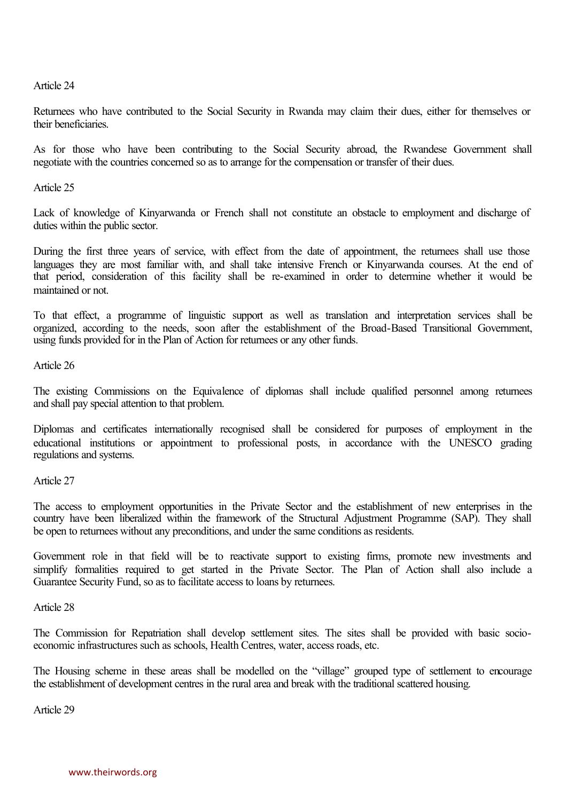Article 24

Returnees who have contributed to the Social Security in Rwanda may claim their dues, either for themselves or their beneficiaries.

As for those who have been contributing to the Social Security abroad, the Rwandese Government shall negotiate with the countries concerned so as to arrange for the compensation or transfer of their dues.

Article 25

Lack of knowledge of Kinyarwanda or French shall not constitute an obstacle to employment and discharge of duties within the public sector.

During the first three years of service, with effect from the date of appointment, the returnees shall use those languages they are most familiar with, and shall take intensive French or Kinyarwanda courses. At the end of that period, consideration of this facility shall be re-examined in order to determine whether it would be maintained or not.

maintained or not.<br>To that effect, a programme of linguistic support as well as translation and interpretation services shall be<br>organized according to the needs soon after the establishment of the Broad-Based Transitional To that effect, a programme of linguistic support as well as translation and interpretation services shall be organized, according to the needs, soon after the establishment of the Broad-Based Transitional Government, usin using funds provided for in the Plan of Action for returnees or any other funds.

Article 26

The existing Commissions on the Equivalence of diplomas shall include qualified personnel among returnees and shall pay special attention to that problem.

Diplomas and certificates internationally recognised shall be considered for purposes of employment in the educational institutions or appointment to professional posts, in accordance with the UNESCO grading regulations and systems.

Article 27

Article 27<br>The access to employment opportunities in the Private Sector and the establishment of new enterprises in the<br>country have been liberalized within the framework of the Structural Adiustment Programme (SAP) They s The access to employment opportunities in the Private Sector and the establishment of new enterprises in the country have been liberalized within the framework of the Structural Adjustment Programme (SAP). They shall be on be open to returnees without any preconditions, and under the same conditions as residents.

be open to returnees without any preconditions, and under the same conditions as residents.<br>Government role in that field will be to reactivate support to existing firms, promote new investments and<br>simplify formalities re Government role in that field will be to reactivate support to existing firms, promote new investments and simplify formalities required to get started in the Private Sector. The Plan of Action shall also include a Guarant Guarantee Security Fund, so as to facilitate access to loans by returnees.

Article 28

The Commission for Repatriation shall develop settlement sites. The sites shall be provided with basic socio economic infrastructures such as schools, Health Centres, water, access roads, etc.

The Housing scheme in these areas shall be modelled on the "village" grouped type of settlement to encourage the establishment of development centres in the rural area and break with the traditional scattered housing.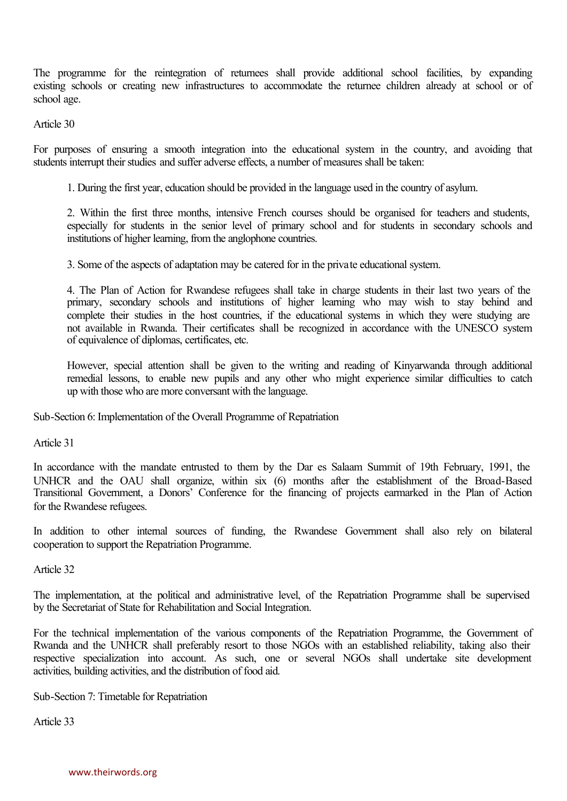The programme for the reintegration of returnees shall provide additional school facilities, by expanding<br>existing schools or creating new infrastructures to accommodate the returnee children already at school or of The programme for the reintegration of returnees shall provide additional school facilities, by expanding existing schools or creating new infrastructures to accommodate the returnee children already at school or of school school age.

Article 30

For purposes of ensuring a smooth integration into the educational system in the country, and avoiding that students interrupt their studies and suffer adverse effects, a number of measures shall be taken:

1. During the first year, education should be provided in the language used in the country of asylum.

2. Within the first three months, intensive French courses should be organised for teachers and students, especially for students in the senior level of primary school and for students in secondary schools and institutions of higher learning, from the anglophone countries.

3. Some of the aspects of adaptation may be catered for in the private educational system.

4. The Plan of Action for Rwandese refugees shall take in charge students in their last two years of the 4. The Plan of Action for Rwandese refugees shall take in charge students in their last two years of the primary, secondary schools and institutions of higher learning who may wish to stay behind and complete their studies 4. The Plan of Action for Rwandese refugees shall take in charge students in their last two years of the primary, secondary schools and institutions of higher learning who may wish to stay behind and complete their studies primary, secondary schools and institutions of higher learning who may wish to stay behind and complete their studies in the host countries, if the educational systems in which they were studying are not available in Rwand of equivalence of diplomas, certificates, etc.

However, special attention shall be given to the writing and reading of Kinyarwanda through additional remedial lessons, to enable new pupils and any other who might experience similar difficulties to catch up with those who are more conversant with the language.

Sub-Section 6: Implementation of the Overall Programme of Repatriation

Article 31

In accordance with the mandate entrusted to them by the Dar es Salaam Summit of 19th February, 1991, the UNHCR and the OAU shall organize, within six (6) months after the establishment of the Broad-Based Transitional Government, a Donors' Conference for the financing of projects earmarked in the Plan of Action for the Rwandese refugees.

In addition to other internal sources of funding, the Rwandese Government shall also rely on bilateral cooperation to support the Repatriation Programme.

Article 32

The implementation, at the political and administrative level, of the Repatriation Programme shall be supervised by the Secretariat of State for Rehabilitation and Social Integration.

For the technical implementation of the various components of the Repatriation Programme, the Government of Rwanda and the UNHCR shall preferably resort to those NGOs with an established reliability, taking also their respective specialization into account. As such, one or several NGOs shall undertake site development activities, building activities, and the distribution of food aid.

Sub-Section 7: Timetable for Repatriation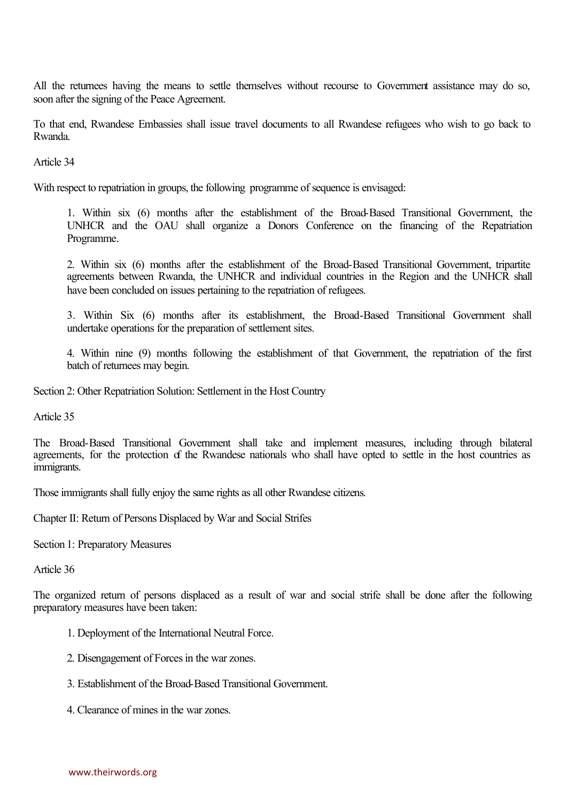All the returnees having the means to settle themselves without recourse to Government assistance may do so, soon after the signing of the Peace Agreement.

To that end, Rwandese Embassies shall issue travel documents to all Rwandese refugees who wish to go back to Rwanda.

Article 34

With respect to repatriation in groups, the following programme of sequence is envisaged:

1. Within six (6) months after the establishment of the Broad-Based Transitional Government, the UNHCR and the OAU shall organize a Donors Conference on the financing of the Repatriation Programme.

2. Within six (6) months after the establishment of the Broad-Based Transitional Government, tripartite agreements between Rwanda, the UNHCR and individual countries in the Region and the UNHCR shall have been concluded on issues pertaining to the repatriation of refugees.

3. Within Six (6) months after its establishment, the Broad-Based Transitional Government shall undertake operations for the preparation of settlement sites.

4. Within nine (9) months following the establishment of that Government, the repatriation of the first batch of returnees may begin.

Section 2: Other Repatriation Solution: Settlement in the Host Country

Article 35

Article 35<br>The Broad-Based Transitional Government shall take and implement measures, including through bilateral<br>agreements for the protection of the Rwandese nationals who shall have opted to settle in the host cou The Broad-Based Transitional Government shall take and implement measures, including through bilateral agreements, for the protection of the Rwandese nationals who shall have opted to settle in the host countries as immigr immigrants.

Those immigrants shall fully enjoy the same rights as all other Rwandese citizens.

Chapter II: Return of Persons Displaced by War and Social Strifes Section 1: Preparatory Measures

Article 36

The organized return of persons displaced as a result of war and social strife shall be done after the following preparatory measures have been taken:

- 1. Deployment of the International Neutral Force.
- 2. Disengagement of Forces in the war zones.
- 3. Establishment of the Broad-Based Transitional Government.
- 4. Clearance of mines in the war zones.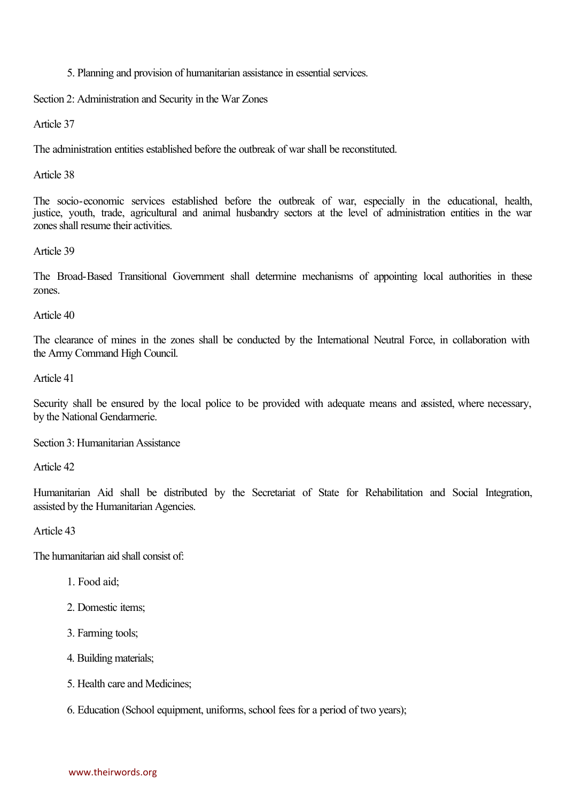## 5. Planning and provision of humanitarian assistance in essential services. Section 2: Administration and Security in the War Zones

Article 37

The administration entities established before the outbreak of war shall be reconstituted.

Article 38

The socio-economic services established before the outbreak of war, especially in the educational, health, justice, youth, trade, agricultural and animal husbandry sectors at the level of administration entities in the war zones shall resume their activities.

## Article 39

The Broad-Based Transitional Government shall determine mechanisms of appointing local authorities in these zones.

Article 40

The clearance of mines in the zones shall be conducted by the International Neutral Force, in collaboration with the Army Command High Council.

Article 41

Security shall be ensured by the local police to be provided with adequate means and assisted, where necessary, by the National Gendarmerie.

Section 3: Humanitarian Assistance

Article 42

Humanitarian Aid shall be distributed by the Secretariat of State for Rehabilitation and Social Integration, assisted by the Humanitarian Agencies.

Article 43

The humanitarian aid shall consist of:

- 1. Food aid;
- 2. Domestic items;
- 3. Farming tools;
- 4. Building materials;
- 5. Health care and Medicines;
- 6. Education (School equipment, uniforms, school fees for a period of two years);